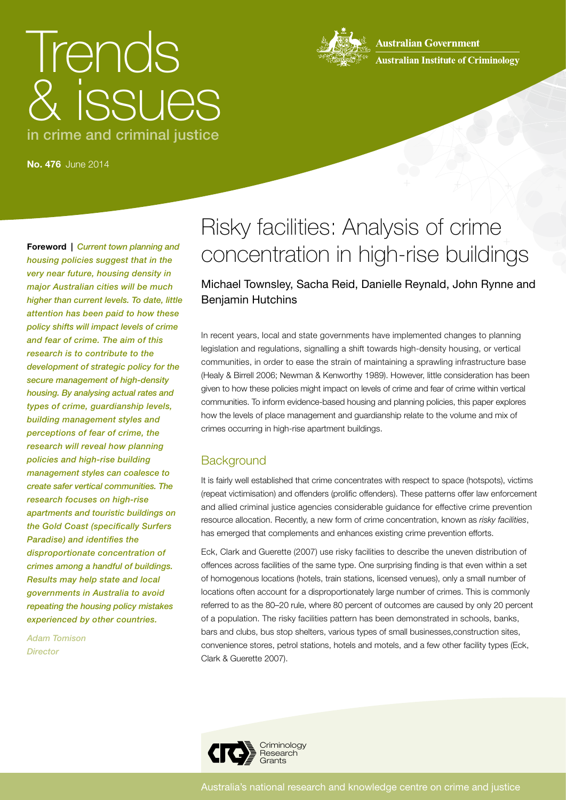# Trends & issues in crime and criminal justice



**Australian Government Australian Institute of Criminology** 

**No. 476** June 2014

**Foreword |** *Current town planning and housing policies suggest that in the very near future, housing density in major Australian cities will be much higher than current levels. To date, little attention has been paid to how these policy shifts will impact levels of crime and fear of crime. The aim of this research is to contribute to the development of strategic policy for the secure management of high-density housing. By analysing actual rates and types of crime, guardianship levels, building management styles and perceptions of fear of crime, the research will reveal how planning policies and high-rise building management styles can coalesce to create safer vertical communities. The research focuses on high-rise apartments and touristic buildings on the Gold Coast (specifically Surfers Paradise) and identifies the disproportionate concentration of crimes among a handful of buildings. Results may help state and local governments in Australia to avoid repeating the housing policy mistakes experienced by other countries.*

*Adam Tomison Director*

# Risky facilities: Analysis of crime concentration in high-rise buildings

# Michael Townsley, Sacha Reid, Danielle Reynald, John Rynne and Benjamin Hutchins

In recent years, local and state governments have implemented changes to planning legislation and regulations, signalling a shift towards high-density housing, or vertical communities, in order to ease the strain of maintaining a sprawling infrastructure base (Healy & Birrell 2006; Newman & Kenworthy 1989). However, little consideration has been given to how these policies might impact on levels of crime and fear of crime within vertical communities. To inform evidence-based housing and planning policies, this paper explores how the levels of place management and guardianship relate to the volume and mix of crimes occurring in high-rise apartment buildings.

# **Background**

It is fairly well established that crime concentrates with respect to space (hotspots), victims (repeat victimisation) and offenders (prolific offenders). These patterns offer law enforcement and allied criminal justice agencies considerable guidance for effective crime prevention resource allocation. Recently, a new form of crime concentration, known as *risky facilities*, has emerged that complements and enhances existing crime prevention efforts.

Eck, Clark and Guerette (2007) use risky facilities to describe the uneven distribution of offences across facilities of the same type. One surprising finding is that even within a set of homogenous locations (hotels, train stations, licensed venues), only a small number of locations often account for a disproportionately large number of crimes. This is commonly referred to as the 80–20 rule, where 80 percent of outcomes are caused by only 20 percent of a population. The risky facilities pattern has been demonstrated in schools, banks, bars and clubs, bus stop shelters, various types of small businesses,construction sites, convenience stores, petrol stations, hotels and motels, and a few other facility types (Eck, Clark & Guerette 2007).

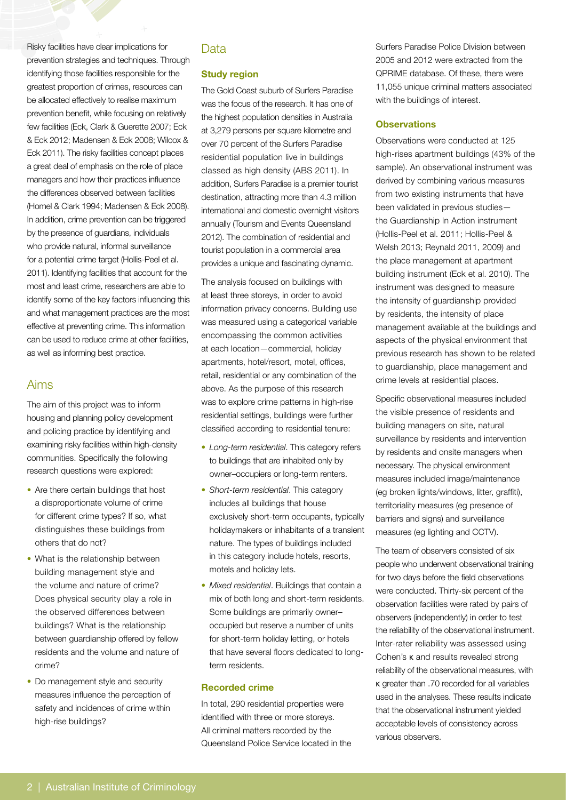Risky facilities have clear implications for prevention strategies and techniques. Through identifying those facilities responsible for the greatest proportion of crimes, resources can be allocated effectively to realise maximum prevention benefit, while focusing on relatively few facilities (Eck, Clark & Guerette 2007; Eck & Eck 2012; Madensen & Eck 2008; Wilcox & Eck 2011). The risky facilities concept places a great deal of emphasis on the role of place managers and how their practices influence the differences observed between facilities (Homel & Clark 1994; Madensen & Eck 2008). In addition, crime prevention can be triggered by the presence of guardians, individuals who provide natural, informal surveillance for a potential crime target (Hollis-Peel et al. 2011). Identifying facilities that account for the most and least crime, researchers are able to identify some of the key factors influencing this and what management practices are the most effective at preventing crime. This information can be used to reduce crime at other facilities, as well as informing best practice.

## Aims

The aim of this project was to inform housing and planning policy development and policing practice by identifying and examining risky facilities within high-density communities. Specifically the following research questions were explored:

- Are there certain buildings that host a disproportionate volume of crime for different crime types? If so, what distinguishes these buildings from others that do not?
- What is the relationship between building management style and the volume and nature of crime? Does physical security play a role in the observed differences between buildings? What is the relationship between guardianship offered by fellow residents and the volume and nature of crime?
- Do management style and security measures influence the perception of safety and incidences of crime within high-rise buildings?

# **Data**

#### **Study region**

The Gold Coast suburb of Surfers Paradise was the focus of the research. It has one of the highest population densities in Australia at 3,279 persons per square kilometre and over 70 percent of the Surfers Paradise residential population live in buildings classed as high density (ABS 2011). In addition, Surfers Paradise is a premier tourist destination, attracting more than 4.3 million international and domestic overnight visitors annually (Tourism and Events Queensland 2012). The combination of residential and tourist population in a commercial area provides a unique and fascinating dynamic.

The analysis focused on buildings with at least three storeys, in order to avoid information privacy concerns. Building use was measured using a categorical variable encompassing the common activities at each location—commercial, holiday apartments, hotel/resort, motel, offices, retail, residential or any combination of the above. As the purpose of this research was to explore crime patterns in high-rise residential settings, buildings were further classified according to residential tenure:

- *Long-term residential*. This category refers to buildings that are inhabited only by owner–occupiers or long-term renters.
- *Short-term residential*. This category includes all buildings that house exclusively short-term occupants, typically holidaymakers or inhabitants of a transient nature. The types of buildings included in this category include hotels, resorts, motels and holiday lets.
- *Mixed residential*. Buildings that contain a mix of both long and short-term residents. Some buildings are primarily owner– occupied but reserve a number of units for short-term holiday letting, or hotels that have several floors dedicated to longterm residents.

#### **Recorded crime**

In total, 290 residential properties were identified with three or more storeys. All criminal matters recorded by the Queensland Police Service located in the Surfers Paradise Police Division between 2005 and 2012 were extracted from the QPRIME database. Of these, there were 11,055 unique criminal matters associated with the buildings of interest.

#### **Observations**

Observations were conducted at 125 high-rises apartment buildings (43% of the sample). An observational instrument was derived by combining various measures from two existing instruments that have been validated in previous studies the Guardianship In Action instrument (Hollis-Peel et al. 2011; Hollis-Peel & Welsh 2013; Reynald 2011, 2009) and the place management at apartment building instrument (Eck et al. 2010). The instrument was designed to measure the intensity of guardianship provided by residents, the intensity of place management available at the buildings and aspects of the physical environment that previous research has shown to be related to guardianship, place management and crime levels at residential places.

Specific observational measures included the visible presence of residents and building managers on site, natural surveillance by residents and intervention by residents and onsite managers when necessary. The physical environment measures included image/maintenance (eg broken lights/windows, litter, graffiti), territoriality measures (eg presence of barriers and signs) and surveillance measures (eg lighting and CCTV).

The team of observers consisted of six people who underwent observational training for two days before the field observations were conducted. Thirty-six percent of the observation facilities were rated by pairs of observers (independently) in order to test the reliability of the observational instrument. Inter-rater reliability was assessed using Cohen's κ and results revealed strong reliability of the observational measures, with κ greater than .70 recorded for all variables used in the analyses. These results indicate that the observational instrument yielded acceptable levels of consistency across various observers.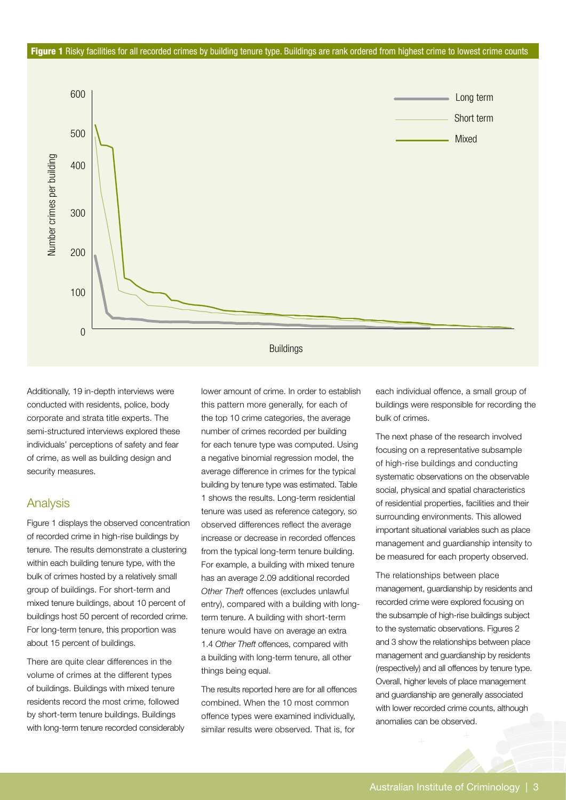#### Figure 1 Risky facilities for all recorded crimes by building tenure type. Buildings are rank ordered from highest crime to lowest crime counts



Additionally, 19 in-depth interviews were conducted with residents, police, body corporate and strata title experts. The semi-structured interviews explored these individuals' perceptions of safety and fear of crime, as well as building design and security measures.

#### Analysis

Figure 1 displays the observed concentration of recorded crime in high-rise buildings by tenure. The results demonstrate a clustering within each building tenure type, with the bulk of crimes hosted by a relatively small group of buildings. For short-term and mixed tenure buildings, about 10 percent of buildings host 50 percent of recorded crime. For long-term tenure, this proportion was about 15 percent of buildings.

There are quite clear differences in the volume of crimes at the different types of buildings. Buildings with mixed tenure residents record the most crime, followed by short-term tenure buildings. Buildings with long-term tenure recorded considerably lower amount of crime. In order to establish this pattern more generally, for each of the top 10 crime categories, the average number of crimes recorded per building for each tenure type was computed. Using a negative binomial regression model, the average difference in crimes for the typical building by tenure type was estimated. Table 1 shows the results. Long-term residential tenure was used as reference category, so observed differences reflect the average increase or decrease in recorded offences from the typical long-term tenure building. For example, a building with mixed tenure has an average 2.09 additional recorded *Other Theft* offences (excludes unlawful entry), compared with a building with longterm tenure. A building with short-term tenure would have on average an extra 1.4 *Other Theft* offences, compared with a building with long-term tenure, all other things being equal.

The results reported here are for all offences combined. When the 10 most common offence types were examined individually, similar results were observed. That is, for

each individual offence, a small group of buildings were responsible for recording the bulk of crimes.

The next phase of the research involved focusing on a representative subsample of high-rise buildings and conducting systematic observations on the observable social, physical and spatial characteristics of residential properties, facilities and their surrounding environments. This allowed important situational variables such as place management and guardianship intensity to be measured for each property observed.

The relationships between place management, guardianship by residents and recorded crime were explored focusing on the subsample of high-rise buildings subject to the systematic observations. Figures 2 and 3 show the relationships between place management and guardianship by residents (respectively) and all offences by tenure type. Overall, higher levels of place management and guardianship are generally associated with lower recorded crime counts, although anomalies can be observed.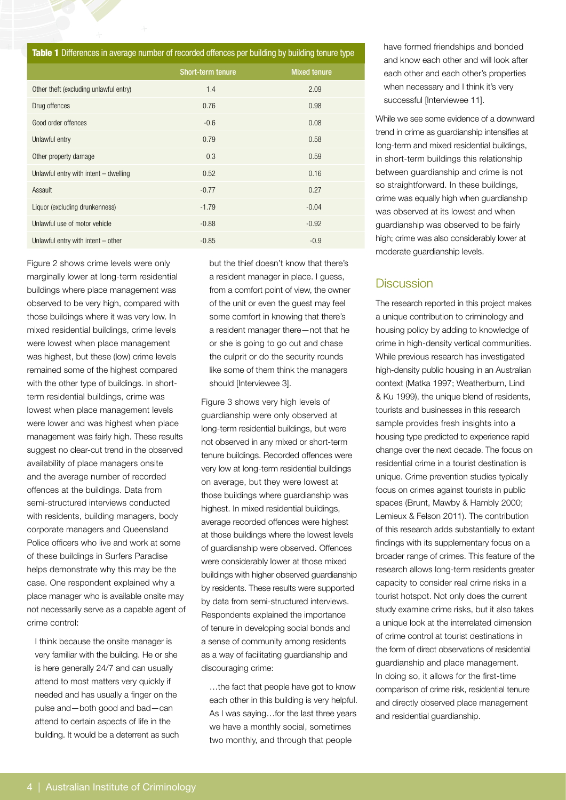| Table 1 Differences in average number of recorded offences per building by building tenure type |                          |                     |
|-------------------------------------------------------------------------------------------------|--------------------------|---------------------|
|                                                                                                 | <b>Short-term tenure</b> | <b>Mixed tenure</b> |
| Other theft (excluding unlawful entry)                                                          | 1.4                      | 2.09                |
| Drug offences                                                                                   | 0.76                     | 0.98                |
| Good order offences                                                                             | $-0.6$                   | 0.08                |
| Unlawful entry                                                                                  | 0.79                     | 0.58                |
| Other property damage                                                                           | 0.3                      | 0.59                |
| Unlawful entry with intent $-$ dwelling                                                         | 0.52                     | 0.16                |
| Assault                                                                                         | $-0.77$                  | 0.27                |
| Liquor (excluding drunkenness)                                                                  | $-1.79$                  | $-0.04$             |
| Unlawful use of motor vehicle                                                                   | $-0.88$                  | $-0.92$             |
| Unlawful entry with intent $-$ other                                                            | $-0.85$                  | $-0.9$              |

Figure 2 shows crime levels were only marginally lower at long-term residential buildings where place management was observed to be very high, compared with those buildings where it was very low. In mixed residential buildings, crime levels were lowest when place management was highest, but these (low) crime levels remained some of the highest compared with the other type of buildings. In shortterm residential buildings, crime was lowest when place management levels were lower and was highest when place management was fairly high. These results suggest no clear-cut trend in the observed availability of place managers onsite and the average number of recorded offences at the buildings. Data from semi-structured interviews conducted with residents, building managers, body corporate managers and Queensland Police officers who live and work at some of these buildings in Surfers Paradise helps demonstrate why this may be the case. One respondent explained why a place manager who is available onsite may not necessarily serve as a capable agent of crime control:

I think because the onsite manager is very familiar with the building. He or she is here generally 24/7 and can usually attend to most matters very quickly if needed and has usually a finger on the pulse and—both good and bad—can attend to certain aspects of life in the building. It would be a deterrent as such but the thief doesn't know that there's a resident manager in place. I guess, from a comfort point of view, the owner of the unit or even the guest may feel some comfort in knowing that there's a resident manager there—not that he or she is going to go out and chase the culprit or do the security rounds like some of them think the managers should [Interviewee 3].

Figure 3 shows very high levels of guardianship were only observed at long-term residential buildings, but were not observed in any mixed or short-term tenure buildings. Recorded offences were very low at long-term residential buildings on average, but they were lowest at those buildings where guardianship was highest. In mixed residential buildings, average recorded offences were highest at those buildings where the lowest levels of guardianship were observed. Offences were considerably lower at those mixed buildings with higher observed guardianship by residents. These results were supported by data from semi-structured interviews. Respondents explained the importance of tenure in developing social bonds and a sense of community among residents as a way of facilitating guardianship and discouraging crime:

…the fact that people have got to know each other in this building is very helpful. As I was saying…for the last three years we have a monthly social, sometimes two monthly, and through that people

have formed friendships and bonded and know each other and will look after each other and each other's properties when necessary and I think it's very successful [Interviewee 11].

While we see some evidence of a downward trend in crime as guardianship intensifies at long-term and mixed residential buildings, in short-term buildings this relationship between guardianship and crime is not so straightforward. In these buildings, crime was equally high when guardianship was observed at its lowest and when guardianship was observed to be fairly high; crime was also considerably lower at moderate guardianship levels.

# **Discussion**

The research reported in this project makes a unique contribution to criminology and housing policy by adding to knowledge of crime in high-density vertical communities. While previous research has investigated high-density public housing in an Australian context (Matka 1997; Weatherburn, Lind & Ku 1999), the unique blend of residents, tourists and businesses in this research sample provides fresh insights into a housing type predicted to experience rapid change over the next decade. The focus on residential crime in a tourist destination is unique. Crime prevention studies typically focus on crimes against tourists in public spaces (Brunt, Mawby & Hambly 2000; Lemieux & Felson 2011). The contribution of this research adds substantially to extant findings with its supplementary focus on a broader range of crimes. This feature of the research allows long-term residents greater capacity to consider real crime risks in a tourist hotspot. Not only does the current study examine crime risks, but it also takes a unique look at the interrelated dimension of crime control at tourist destinations in the form of direct observations of residential guardianship and place management. In doing so, it allows for the first-time comparison of crime risk, residential tenure and directly observed place management and residential guardianship.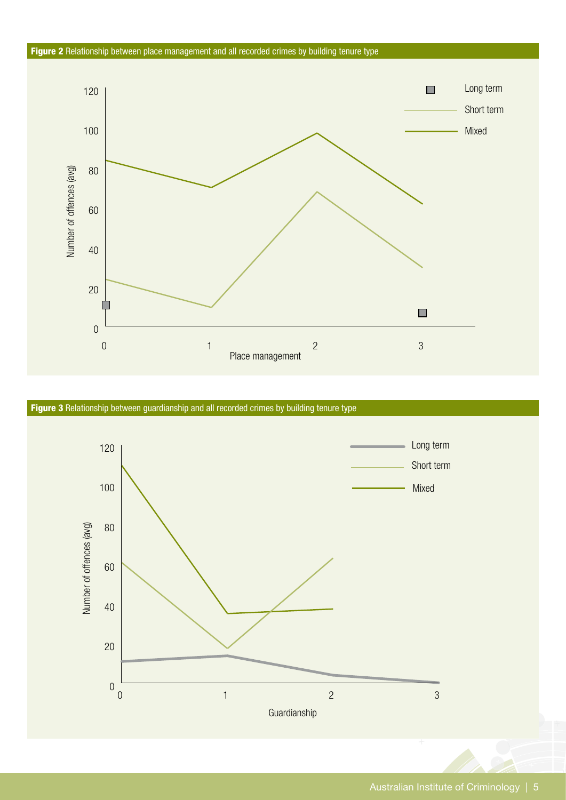#### Figure 2 Relationship between place management and all recorded crimes by building tenure type



Figure 3 Relationship between guardianship and all recorded crimes by building tenure type

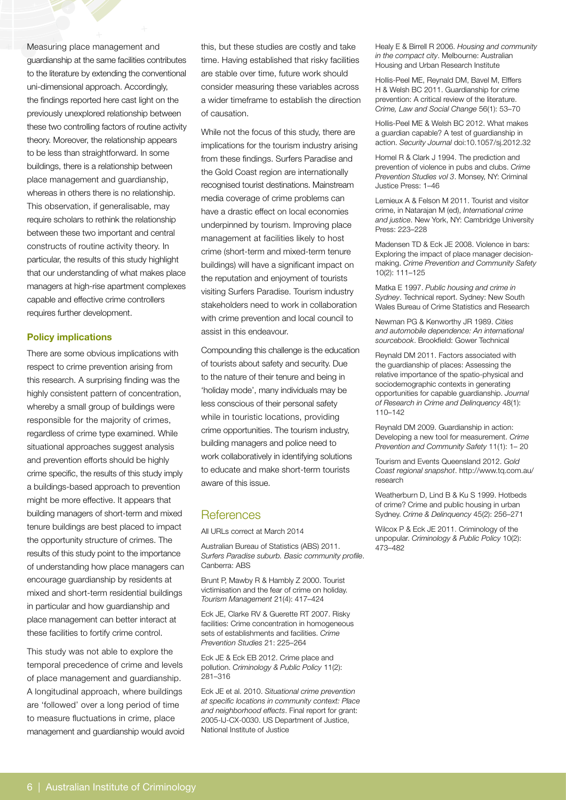Measuring place management and guardianship at the same facilities contributes to the literature by extending the conventional uni-dimensional approach. Accordingly, the findings reported here cast light on the previously unexplored relationship between these two controlling factors of routine activity theory. Moreover, the relationship appears to be less than straightforward. In some buildings, there is a relationship between place management and guardianship, whereas in others there is no relationship. This observation, if generalisable, may require scholars to rethink the relationship between these two important and central constructs of routine activity theory. In particular, the results of this study highlight that our understanding of what makes place managers at high-rise apartment complexes capable and effective crime controllers requires further development.

#### **Policy implications**

There are some obvious implications with respect to crime prevention arising from this research. A surprising finding was the highly consistent pattern of concentration, whereby a small group of buildings were responsible for the majority of crimes, regardless of crime type examined. While situational approaches suggest analysis and prevention efforts should be highly crime specific, the results of this study imply a buildings-based approach to prevention might be more effective. It appears that building managers of short-term and mixed tenure buildings are best placed to impact the opportunity structure of crimes. The results of this study point to the importance of understanding how place managers can encourage guardianship by residents at mixed and short-term residential buildings in particular and how guardianship and place management can better interact at these facilities to fortify crime control.

This study was not able to explore the temporal precedence of crime and levels of place management and guardianship. A longitudinal approach, where buildings are 'followed' over a long period of time to measure fluctuations in crime, place management and guardianship would avoid this, but these studies are costly and take time. Having established that risky facilities are stable over time, future work should consider measuring these variables across a wider timeframe to establish the direction of causation.

While not the focus of this study, there are implications for the tourism industry arising from these findings. Surfers Paradise and the Gold Coast region are internationally recognised tourist destinations. Mainstream media coverage of crime problems can have a drastic effect on local economies underpinned by tourism. Improving place management at facilities likely to host crime (short-term and mixed-term tenure buildings) will have a significant impact on the reputation and enjoyment of tourists visiting Surfers Paradise. Tourism industry stakeholders need to work in collaboration with crime prevention and local council to assist in this endeavour.

Compounding this challenge is the education of tourists about safety and security. Due to the nature of their tenure and being in 'holiday mode', many individuals may be less conscious of their personal safety while in touristic locations, providing crime opportunities. The tourism industry, building managers and police need to work collaboratively in identifying solutions to educate and make short-term tourists aware of this issue.

## **References**

All URLs correct at March 2014

Australian Bureau of Statistics (ABS) 2011. *Surfers Paradise suburb. Basic community profile*. Canberra: ABS

Brunt P, Mawby R & Hambly Z 2000. Tourist victimisation and the fear of crime on holiday. *Tourism Management* 21(4): 417–424

Eck JE, Clarke RV & Guerette RT 2007. Risky facilities: Crime concentration in homogeneous sets of establishments and facilities. *Crime Prevention Studies* 21: 225–264

Eck JE & Eck EB 2012. Crime place and pollution. *Criminology & Public Policy* 11(2): 281–316

Eck JE et al. 2010. *Situational crime prevention at specific locations in community context: Place and neighborhood effects*. Final report for grant: 2005-IJ-CX-0030. US Department of Justice, National Institute of Justice

Healy E & Birrell R 2006. *Housing and community in the compact city*. Melbourne: Australian Housing and Urban Research Institute

Hollis-Peel ME, Reynald DM, Bavel M, Elffers H & Welsh BC 2011. Guardianship for crime prevention: A critical review of the literature. *Crime, Law and Social Change* 56(1): 53–70

Hollis-Peel ME & Welsh BC 2012. What makes a guardian capable? A test of guardianship in action. *Security Journal* doi:10.1057/sj.2012.32

Homel R & Clark J 1994. The prediction and prevention of violence in pubs and clubs. *Crime Prevention Studies vol 3*. Monsey, NY: Criminal Justice Press: 1–46

Lemieux A & Felson M 2011. Tourist and visitor crime, in Natarajan M (ed), *International crime and justice*. New York, NY: Cambridge University Press: 223–228

Madensen TD & Eck JE 2008. Violence in bars: Exploring the impact of place manager decisionmaking. *Crime Prevention and Community Safety* 10(2): 111–125

Matka E 1997. *Public housing and crime in Sydney*. Technical report. Sydney: New South Wales Bureau of Crime Statistics and Research

Newman PG & Kenworthy JR 1989. *Cities and automobile dependence: An international sourcebook*. Brookfield: Gower Technical

Reynald DM 2011. Factors associated with the guardianship of places: Assessing the relative importance of the spatio-physical and sociodemographic contexts in generating opportunities for capable guardianship. *Journal of Research in Crime and Delinquency* 48(1): 110–142

Reynald DM 2009. Guardianship in action: Developing a new tool for measurement. *Crime Prevention and Community Safety* 11(1): 1– 20

Tourism and Events Queensland 2012. *Gold Coast regional snapshot*. http://www.tq.com.au/ research

Weatherburn D, Lind B & Ku S 1999. Hotbeds of crime? Crime and public housing in urban Sydney. *Crime & Delinquency* 45(2): 256–271

Wilcox P & Eck JE 2011. Criminology of the unpopular. *Criminology & Public Policy* 10(2): 473–482